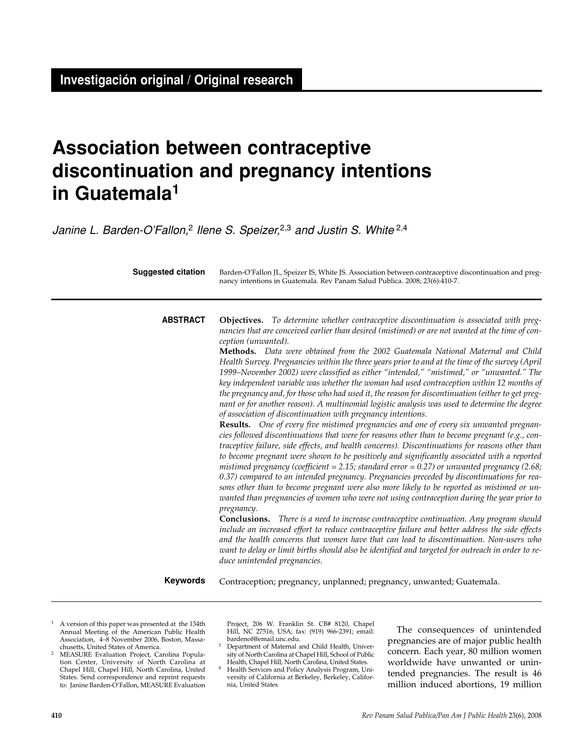# **Association between contraceptive discontinuation and pregnancy intentions in Guatemala1**

Janine L. Barden-O'Fallon,<sup>2</sup> Ilene S. Speizer,<sup>2,3</sup> and Justin S. White  $2,4$ 

| <b>Suggested citation</b> | Barden-O'Fallon JL, Speizer IS, White JS. Association between contraceptive discontinuation and preg-<br>nancy intentions in Guatemala. Rev Panam Salud Publica. 2008; 23(6):410-7.                                                                                                                                                                                                                                                                                                                                                                                                                                                                                                                                                                                                                                                                                                                                                                                                                                                                                                                                                                                                                                                                                                                                                                                                                                                                                                                                                                                                                                                                                                                                                                                                                                                                                                                                                                                                                                                                                                                               |  |  |  |
|---------------------------|-------------------------------------------------------------------------------------------------------------------------------------------------------------------------------------------------------------------------------------------------------------------------------------------------------------------------------------------------------------------------------------------------------------------------------------------------------------------------------------------------------------------------------------------------------------------------------------------------------------------------------------------------------------------------------------------------------------------------------------------------------------------------------------------------------------------------------------------------------------------------------------------------------------------------------------------------------------------------------------------------------------------------------------------------------------------------------------------------------------------------------------------------------------------------------------------------------------------------------------------------------------------------------------------------------------------------------------------------------------------------------------------------------------------------------------------------------------------------------------------------------------------------------------------------------------------------------------------------------------------------------------------------------------------------------------------------------------------------------------------------------------------------------------------------------------------------------------------------------------------------------------------------------------------------------------------------------------------------------------------------------------------------------------------------------------------------------------------------------------------|--|--|--|
| <b>ABSTRACT</b>           | Objectives. To determine whether contraceptive discontinuation is associated with preg-<br>nancies that are conceived earlier than desired (mistimed) or are not wanted at the time of con-<br>ception (unwanted).<br>Methods. Data were obtained from the 2002 Guatemala National Maternal and Child<br>Health Survey. Pregnancies within the three years prior to and at the time of the survey (April<br>1999–November 2002) were classified as either "intended," "mistimed," or "unwanted." The<br>key independent variable was whether the woman had used contraception within 12 months of<br>the pregnancy and, for those who had used it, the reason for discontinuation (either to get preg-<br>nant or for another reason). A multinomial logistic analysis was used to determine the degree<br>of association of discontinuation with pregnancy intentions.<br>Results. One of every five mistimed pregnancies and one of every six unwanted pregnan-<br>cies followed discontinuations that were for reasons other than to become pregnant (e.g., con-<br>traceptive failure, side effects, and health concerns). Discontinuations for reasons other than<br>to become pregnant were shown to be positively and significantly associated with a reported<br>mistimed pregnancy (coefficient = 2.15; standard error = 0.27) or unwanted pregnancy (2.68;<br>0.37) compared to an intended pregnancy. Pregnancies preceded by discontinuations for rea-<br>sons other than to become pregnant were also more likely to be reported as mistimed or un-<br>wanted than pregnancies of women who were not using contraception during the year prior to<br>pregnancy.<br><b>Conclusions.</b> There is a need to increase contraceptive continuation. Any program should<br>include an increased effort to reduce contraceptive failure and better address the side effects<br>and the health concerns that women have that can lead to discontinuation. Non-users who<br>want to delay or limit births should also be identified and targeted for outreach in order to re-<br>duce unintended pregnancies. |  |  |  |
| <b>Keywords</b>           | Contraception; pregnancy, unplanned; pregnancy, unwanted; Guatemala.                                                                                                                                                                                                                                                                                                                                                                                                                                                                                                                                                                                                                                                                                                                                                                                                                                                                                                                                                                                                                                                                                                                                                                                                                                                                                                                                                                                                                                                                                                                                                                                                                                                                                                                                                                                                                                                                                                                                                                                                                                              |  |  |  |

- <sup>1</sup> A version of this paper was presented at the 134th Annual Meeting of the American Public Health Association, 4–8 November 2006, Boston, Massa-
- <sup>2</sup> MEASURE Evaluation Project, Carolina Population Center, University of North Carolina at Chapel Hill, Chapel Hill, North Carolina, United States. Send correspondence and reprint requests to: Janine Barden-O'Fallon, MEASURE Evaluation

Project, 206 W. Franklin St. CB# 8120, Chapel Hill, NC 27516, USA; fax: (919) 966-2391; email: bardenof@email.unc.edu.

- Department of Maternal and Child Health, University of North Carolina at Chapel Hill, School of Public Health, Chapel Hill, North Carolina, United States.
- <sup>4</sup> Health Services and Policy Analysis Program, University of California at Berkeley, Berkeley, California, United States

The consequences of unintended pregnancies are of major public health concern. Each year, 80 million women worldwide have unwanted or unintended pregnancies. The result is 46 million induced abortions, 19 million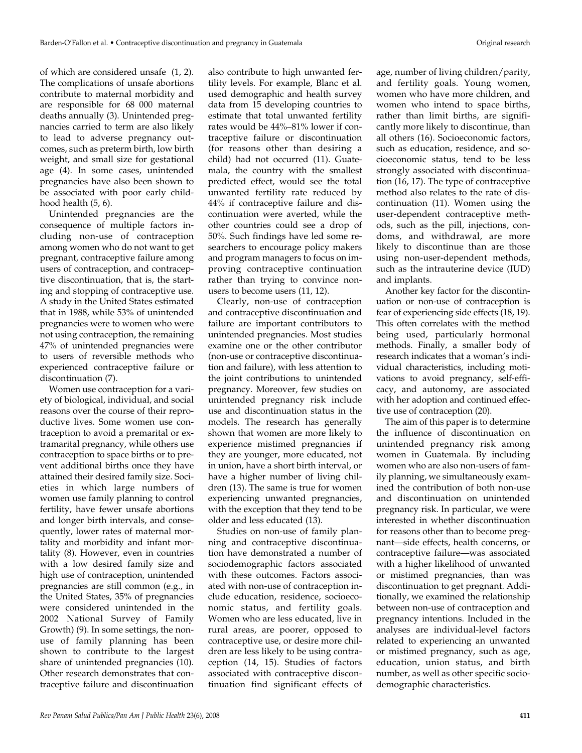of which are considered unsafe (1, 2). The complications of unsafe abortions contribute to maternal morbidity and are responsible for 68 000 maternal deaths annually (3). Unintended pregnancies carried to term are also likely to lead to adverse pregnancy outcomes, such as preterm birth, low birth weight, and small size for gestational age (4). In some cases, unintended pregnancies have also been shown to be associated with poor early childhood health (5, 6).

Unintended pregnancies are the consequence of multiple factors including non-use of contraception among women who do not want to get pregnant, contraceptive failure among users of contraception, and contraceptive discontinuation, that is, the starting and stopping of contraceptive use. A study in the United States estimated that in 1988, while 53% of unintended pregnancies were to women who were not using contraception, the remaining 47% of unintended pregnancies were to users of reversible methods who experienced contraceptive failure or discontinuation (7).

Women use contraception for a variety of biological, individual, and social reasons over the course of their reproductive lives. Some women use contraception to avoid a premarital or extramarital pregnancy, while others use contraception to space births or to prevent additional births once they have attained their desired family size. Societies in which large numbers of women use family planning to control fertility, have fewer unsafe abortions and longer birth intervals, and consequently, lower rates of maternal mortality and morbidity and infant mortality (8). However, even in countries with a low desired family size and high use of contraception, unintended pregnancies are still common (e.g., in the United States, 35% of pregnancies were considered unintended in the 2002 National Survey of Family Growth) (9). In some settings, the nonuse of family planning has been shown to contribute to the largest share of unintended pregnancies (10). Other research demonstrates that contraceptive failure and discontinuation

also contribute to high unwanted fertility levels. For example, Blanc et al. used demographic and health survey data from 15 developing countries to estimate that total unwanted fertility rates would be 44%–81% lower if contraceptive failure or discontinuation (for reasons other than desiring a child) had not occurred (11). Guatemala, the country with the smallest predicted effect, would see the total unwanted fertility rate reduced by 44% if contraceptive failure and discontinuation were averted, while the other countries could see a drop of 50%. Such findings have led some researchers to encourage policy makers and program managers to focus on improving contraceptive continuation rather than trying to convince nonusers to become users (11, 12).

Clearly, non-use of contraception and contraceptive discontinuation and failure are important contributors to unintended pregnancies. Most studies examine one or the other contributor (non-use or contraceptive discontinuation and failure), with less attention to the joint contributions to unintended pregnancy. Moreover, few studies on unintended pregnancy risk include use and discontinuation status in the models. The research has generally shown that women are more likely to experience mistimed pregnancies if they are younger, more educated, not in union, have a short birth interval, or have a higher number of living children (13). The same is true for women experiencing unwanted pregnancies, with the exception that they tend to be older and less educated (13).

Studies on non-use of family planning and contraceptive discontinuation have demonstrated a number of sociodemographic factors associated with these outcomes. Factors associated with non-use of contraception include education, residence, socioeconomic status, and fertility goals. Women who are less educated, live in rural areas, are poorer, opposed to contraceptive use, or desire more children are less likely to be using contraception (14, 15). Studies of factors associated with contraceptive discontinuation find significant effects of

age, number of living children/parity, and fertility goals. Young women, women who have more children, and women who intend to space births, rather than limit births, are significantly more likely to discontinue, than all others (16). Socioeconomic factors, such as education, residence, and socioeconomic status, tend to be less strongly associated with discontinuation (16, 17). The type of contraceptive method also relates to the rate of discontinuation (11). Women using the user-dependent contraceptive methods, such as the pill, injections, condoms, and withdrawal, are more likely to discontinue than are those using non-user-dependent methods, such as the intrauterine device (IUD) and implants.

Another key factor for the discontinuation or non-use of contraception is fear of experiencing side effects (18, 19). This often correlates with the method being used, particularly hormonal methods. Finally, a smaller body of research indicates that a woman's individual characteristics, including motivations to avoid pregnancy, self-efficacy, and autonomy, are associated with her adoption and continued effective use of contraception (20).

The aim of this paper is to determine the influence of discontinuation on unintended pregnancy risk among women in Guatemala. By including women who are also non-users of family planning, we simultaneously examined the contribution of both non-use and discontinuation on unintended pregnancy risk. In particular, we were interested in whether discontinuation for reasons other than to become pregnant—side effects, health concerns, or contraceptive failure—was associated with a higher likelihood of unwanted or mistimed pregnancies, than was discontinuation to get pregnant. Additionally, we examined the relationship between non-use of contraception and pregnancy intentions. Included in the analyses are individual-level factors related to experiencing an unwanted or mistimed pregnancy, such as age, education, union status, and birth number, as well as other specific sociodemographic characteristics.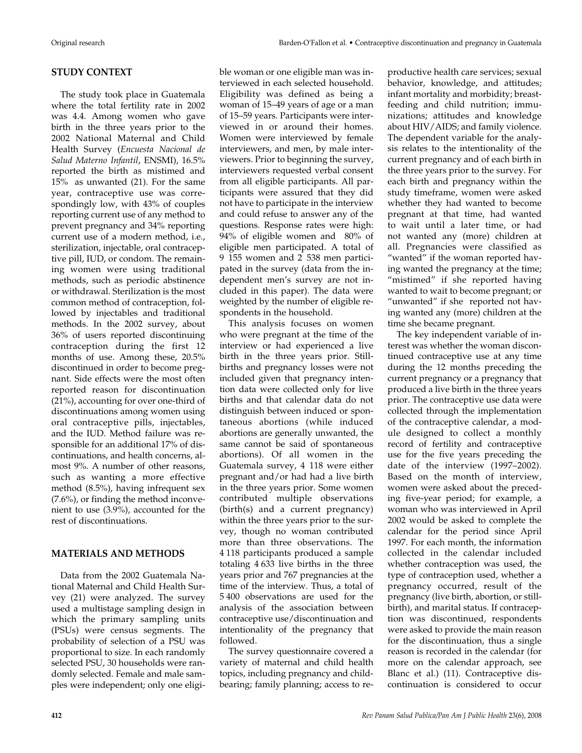#### **STUDY CONTEXT**

The study took place in Guatemala where the total fertility rate in 2002 was 4.4. Among women who gave birth in the three years prior to the 2002 National Maternal and Child Health Survey (*Encuesta Nacional de Salud Materno Infantil*, ENSMI), 16.5% reported the birth as mistimed and 15% as unwanted (21). For the same year, contraceptive use was correspondingly low, with 43% of couples reporting current use of any method to prevent pregnancy and 34% reporting current use of a modern method, i.e., sterilization, injectable, oral contraceptive pill, IUD, or condom. The remaining women were using traditional methods, such as periodic abstinence or withdrawal. Sterilization is the most common method of contraception, followed by injectables and traditional methods. In the 2002 survey, about 36% of users reported discontinuing contraception during the first 12 months of use. Among these, 20.5% discontinued in order to become pregnant. Side effects were the most often reported reason for discontinuation (21%), accounting for over one-third of discontinuations among women using oral contraceptive pills, injectables, and the IUD. Method failure was responsible for an additional 17% of discontinuations, and health concerns, almost 9%. A number of other reasons, such as wanting a more effective method (8.5%), having infrequent sex (7.6%), or finding the method inconvenient to use (3.9%), accounted for the rest of discontinuations.

#### **MATERIALS AND METHODS**

Data from the 2002 Guatemala National Maternal and Child Health Survey (21) were analyzed. The survey used a multistage sampling design in which the primary sampling units (PSUs) were census segments. The probability of selection of a PSU was proportional to size. In each randomly selected PSU, 30 households were randomly selected. Female and male samples were independent; only one eligible woman or one eligible man was interviewed in each selected household. Eligibility was defined as being a woman of 15–49 years of age or a man of 15–59 years. Participants were interviewed in or around their homes. Women were interviewed by female interviewers, and men, by male interviewers. Prior to beginning the survey, interviewers requested verbal consent from all eligible participants. All participants were assured that they did not have to participate in the interview and could refuse to answer any of the questions. Response rates were high: 94% of eligible women and 80% of eligible men participated. A total of 9 155 women and 2 538 men participated in the survey (data from the independent men's survey are not included in this paper). The data were weighted by the number of eligible respondents in the household.

This analysis focuses on women who were pregnant at the time of the interview or had experienced a live birth in the three years prior. Stillbirths and pregnancy losses were not included given that pregnancy intention data were collected only for live births and that calendar data do not distinguish between induced or spontaneous abortions (while induced abortions are generally unwanted, the same cannot be said of spontaneous abortions). Of all women in the Guatemala survey, 4 118 were either pregnant and/or had had a live birth in the three years prior. Some women contributed multiple observations (birth(s) and a current pregnancy) within the three years prior to the survey, though no woman contributed more than three observations. The 4 118 participants produced a sample totaling 4 633 live births in the three years prior and 767 pregnancies at the time of the interview. Thus, a total of 5 400 observations are used for the analysis of the association between contraceptive use/discontinuation and intentionality of the pregnancy that followed.

The survey questionnaire covered a variety of maternal and child health topics, including pregnancy and childbearing; family planning; access to reproductive health care services; sexual behavior, knowledge, and attitudes; infant mortality and morbidity; breastfeeding and child nutrition; immunizations; attitudes and knowledge about HIV/AIDS; and family violence. The dependent variable for the analysis relates to the intentionality of the current pregnancy and of each birth in the three years prior to the survey. For each birth and pregnancy within the study timeframe, women were asked whether they had wanted to become pregnant at that time, had wanted to wait until a later time, or had not wanted any (more) children at all. Pregnancies were classified as "wanted" if the woman reported having wanted the pregnancy at the time; "mistimed" if she reported having wanted to wait to become pregnant; or "unwanted" if she reported not having wanted any (more) children at the time she became pregnant.

The key independent variable of interest was whether the woman discontinued contraceptive use at any time during the 12 months preceding the current pregnancy or a pregnancy that produced a live birth in the three years prior. The contraceptive use data were collected through the implementation of the contraceptive calendar, a module designed to collect a monthly record of fertility and contraceptive use for the five years preceding the date of the interview (1997–2002). Based on the month of interview, women were asked about the preceding five-year period; for example, a woman who was interviewed in April 2002 would be asked to complete the calendar for the period since April 1997. For each month, the information collected in the calendar included whether contraception was used, the type of contraception used, whether a pregnancy occurred, result of the pregnancy (live birth, abortion, or stillbirth), and marital status. If contraception was discontinued, respondents were asked to provide the main reason for the discontinuation, thus a single reason is recorded in the calendar (for more on the calendar approach, see Blanc et al.) (11). Contraceptive discontinuation is considered to occur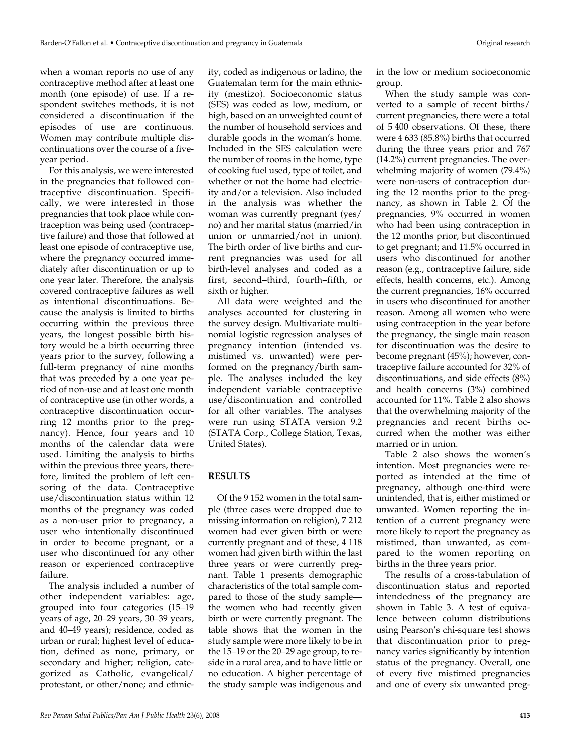when a woman reports no use of any contraceptive method after at least one month (one episode) of use. If a respondent switches methods, it is not considered a discontinuation if the episodes of use are continuous. Women may contribute multiple discontinuations over the course of a fiveyear period.

For this analysis, we were interested in the pregnancies that followed contraceptive discontinuation. Specifically, we were interested in those pregnancies that took place while contraception was being used (contraceptive failure) and those that followed at least one episode of contraceptive use, where the pregnancy occurred immediately after discontinuation or up to one year later. Therefore, the analysis covered contraceptive failures as well as intentional discontinuations. Because the analysis is limited to births occurring within the previous three years, the longest possible birth history would be a birth occurring three years prior to the survey, following a full-term pregnancy of nine months that was preceded by a one year period of non-use and at least one month of contraceptive use (in other words, a contraceptive discontinuation occurring 12 months prior to the pregnancy). Hence, four years and 10 months of the calendar data were used. Limiting the analysis to births within the previous three years, therefore, limited the problem of left censoring of the data. Contraceptive use/discontinuation status within 12 months of the pregnancy was coded as a non-user prior to pregnancy, a user who intentionally discontinued in order to become pregnant, or a user who discontinued for any other reason or experienced contraceptive failure.

The analysis included a number of other independent variables: age, grouped into four categories (15–19 years of age, 20–29 years, 30–39 years, and 40–49 years); residence, coded as urban or rural; highest level of education, defined as none, primary, or secondary and higher; religion, categorized as Catholic, evangelical/ protestant, or other/none; and ethnicity, coded as indigenous or ladino, the Guatemalan term for the main ethnicity (mestizo). Socioeconomic status (SES) was coded as low, medium, or high, based on an unweighted count of the number of household services and durable goods in the woman's home. Included in the SES calculation were the number of rooms in the home, type of cooking fuel used, type of toilet, and whether or not the home had electricity and/or a television. Also included in the analysis was whether the woman was currently pregnant (yes/ no) and her marital status (married/in union or unmarried/not in union). The birth order of live births and current pregnancies was used for all birth-level analyses and coded as a first, second–third, fourth–fifth, or sixth or higher.

All data were weighted and the analyses accounted for clustering in the survey design. Multivariate multinomial logistic regression analyses of pregnancy intention (intended vs. mistimed vs. unwanted) were performed on the pregnancy/birth sample. The analyses included the key independent variable contraceptive use/discontinuation and controlled for all other variables. The analyses were run using STATA version 9.2 (STATA Corp., College Station, Texas, United States).

### **RESULTS**

Of the 9 152 women in the total sample (three cases were dropped due to missing information on religion), 7 212 women had ever given birth or were currently pregnant and of these, 4 118 women had given birth within the last three years or were currently pregnant. Table 1 presents demographic characteristics of the total sample compared to those of the study sample the women who had recently given birth or were currently pregnant. The table shows that the women in the study sample were more likely to be in the 15–19 or the 20–29 age group, to reside in a rural area, and to have little or no education. A higher percentage of the study sample was indigenous and

in the low or medium socioeconomic group.

When the study sample was converted to a sample of recent births/ current pregnancies, there were a total of 5 400 observations. Of these, there were 4 633 (85.8%) births that occurred during the three years prior and 767 (14.2%) current pregnancies. The overwhelming majority of women (79.4%) were non-users of contraception during the 12 months prior to the pregnancy, as shown in Table 2. Of the pregnancies, 9% occurred in women who had been using contraception in the 12 months prior, but discontinued to get pregnant; and 11.5% occurred in users who discontinued for another reason (e.g., contraceptive failure, side effects, health concerns, etc.). Among the current pregnancies, 16% occurred in users who discontinued for another reason. Among all women who were using contraception in the year before the pregnancy, the single main reason for discontinuation was the desire to become pregnant (45%); however, contraceptive failure accounted for 32% of discontinuations, and side effects (8%) and health concerns (3%) combined accounted for 11%. Table 2 also shows that the overwhelming majority of the pregnancies and recent births occurred when the mother was either married or in union.

Table 2 also shows the women's intention. Most pregnancies were reported as intended at the time of pregnancy, although one-third were unintended, that is, either mistimed or unwanted. Women reporting the intention of a current pregnancy were more likely to report the pregnancy as mistimed, than unwanted, as compared to the women reporting on births in the three years prior.

The results of a cross-tabulation of discontinuation status and reported intendedness of the pregnancy are shown in Table 3. A test of equivalence between column distributions using Pearson's chi-square test shows that discontinuation prior to pregnancy varies significantly by intention status of the pregnancy. Overall, one of every five mistimed pregnancies and one of every six unwanted preg-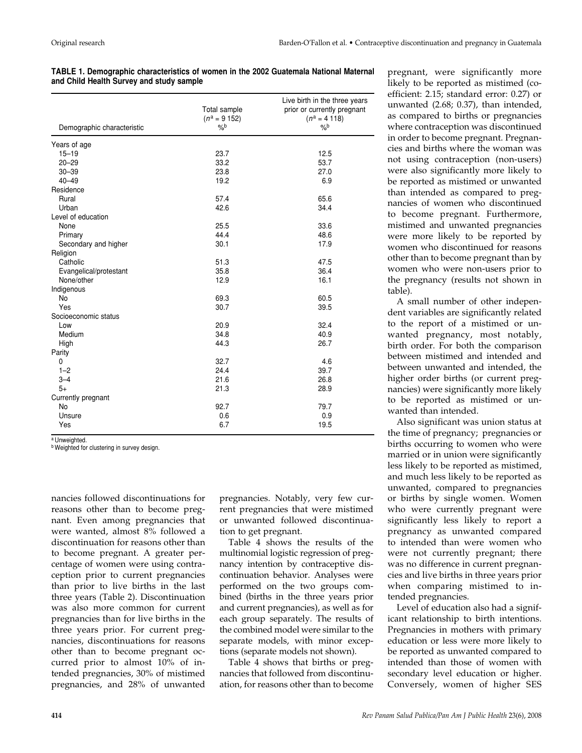|  | TABLE 1. Demographic characteristics of women in the 2002 Guatemala National Maternal |  |  |  |
|--|---------------------------------------------------------------------------------------|--|--|--|
|  | and Child Health Survey and study sample                                              |  |  |  |

| Demographic characteristic | Total sample<br>$(n^a = 9 152)$<br>$\frac{9}{6}$ | Live birth in the three years<br>prior or currently pregnant<br>$(n^a = 4 118)$<br>$\frac{9}{6}$ |
|----------------------------|--------------------------------------------------|--------------------------------------------------------------------------------------------------|
| Years of age               |                                                  |                                                                                                  |
| $15 - 19$                  | 23.7                                             | 12.5                                                                                             |
| $20 - 29$                  | 33.2                                             | 53.7                                                                                             |
| $30 - 39$                  | 23.8                                             | 27.0                                                                                             |
| $40 - 49$                  | 19.2                                             | 6.9                                                                                              |
| Residence                  |                                                  |                                                                                                  |
| Rural                      | 57.4                                             | 65.6                                                                                             |
| Urban                      | 42.6                                             | 34.4                                                                                             |
| Level of education         |                                                  |                                                                                                  |
| None                       | 25.5                                             | 33.6                                                                                             |
| Primary                    | 44.4                                             | 48.6                                                                                             |
| Secondary and higher       | 30.1                                             | 17.9                                                                                             |
| Religion                   |                                                  |                                                                                                  |
| Catholic                   | 51.3                                             | 47.5                                                                                             |
| Evangelical/protestant     | 35.8                                             | 36.4                                                                                             |
| None/other                 | 12.9                                             | 16.1                                                                                             |
| Indigenous                 |                                                  |                                                                                                  |
| <b>No</b>                  | 69.3                                             | 60.5                                                                                             |
| Yes                        | 30.7                                             | 39.5                                                                                             |
| Socioeconomic status       |                                                  |                                                                                                  |
| Low                        | 20.9                                             | 32.4                                                                                             |
| Medium                     | 34.8                                             | 40.9                                                                                             |
| High                       | 44.3                                             | 26.7                                                                                             |
| Parity                     |                                                  |                                                                                                  |
| 0                          | 32.7                                             | 4.6                                                                                              |
| $1 - 2$                    | 24.4                                             | 39.7                                                                                             |
| $3 - 4$                    | 21.6                                             | 26.8                                                                                             |
| $5+$                       | 21.3                                             | 28.9                                                                                             |
| Currently pregnant         |                                                  |                                                                                                  |
| <b>No</b>                  | 92.7                                             | 79.7                                                                                             |
| Unsure                     | 0.6                                              | 0.9                                                                                              |
| Yes                        | 6.7                                              | 19.5                                                                                             |

a Unweighted.

**b** Weighted for clustering in survey design.

nancies followed discontinuations for reasons other than to become pregnant. Even among pregnancies that were wanted, almost 8% followed a discontinuation for reasons other than to become pregnant. A greater percentage of women were using contraception prior to current pregnancies than prior to live births in the last three years (Table 2). Discontinuation was also more common for current pregnancies than for live births in the three years prior. For current pregnancies, discontinuations for reasons other than to become pregnant occurred prior to almost 10% of intended pregnancies, 30% of mistimed pregnancies, and 28% of unwanted

pregnancies. Notably, very few current pregnancies that were mistimed or unwanted followed discontinuation to get pregnant.

Table 4 shows the results of the multinomial logistic regression of pregnancy intention by contraceptive discontinuation behavior. Analyses were performed on the two groups combined (births in the three years prior and current pregnancies), as well as for each group separately. The results of the combined model were similar to the separate models, with minor exceptions (separate models not shown).

Table 4 shows that births or pregnancies that followed from discontinuation, for reasons other than to become pregnant, were significantly more likely to be reported as mistimed (coefficient: 2.15; standard error: 0.27) or unwanted (2.68; 0.37), than intended, as compared to births or pregnancies where contraception was discontinued in order to become pregnant. Pregnancies and births where the woman was not using contraception (non-users) were also significantly more likely to be reported as mistimed or unwanted than intended as compared to pregnancies of women who discontinued to become pregnant. Furthermore, mistimed and unwanted pregnancies were more likely to be reported by women who discontinued for reasons other than to become pregnant than by women who were non-users prior to the pregnancy (results not shown in table).

A small number of other independent variables are significantly related to the report of a mistimed or unwanted pregnancy, most notably, birth order. For both the comparison between mistimed and intended and between unwanted and intended, the higher order births (or current pregnancies) were significantly more likely to be reported as mistimed or unwanted than intended.

Also significant was union status at the time of pregnancy; pregnancies or births occurring to women who were married or in union were significantly less likely to be reported as mistimed, and much less likely to be reported as unwanted, compared to pregnancies or births by single women. Women who were currently pregnant were significantly less likely to report a pregnancy as unwanted compared to intended than were women who were not currently pregnant; there was no difference in current pregnancies and live births in three years prior when comparing mistimed to intended pregnancies.

Level of education also had a significant relationship to birth intentions. Pregnancies in mothers with primary education or less were more likely to be reported as unwanted compared to intended than those of women with secondary level education or higher. Conversely, women of higher SES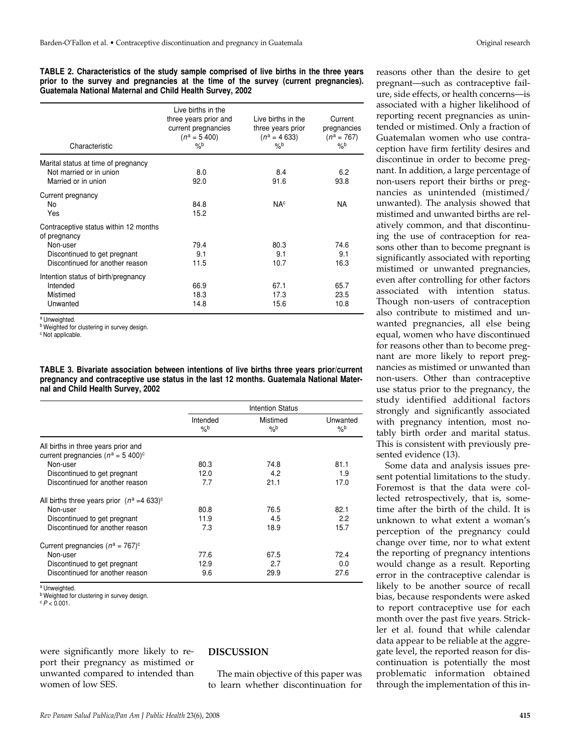**TABLE 2. Characteristics of the study sample comprised of live births in the three years prior to the survey and pregnancies at the time of the survey (current pregnancies). Guatemala National Maternal and Child Health Survey, 2002** 

| Characteristic                                                                                                                       | Live births in the<br>three years prior and<br>current pregnancies<br>$(n^a = 5, 400)$<br>$\frac{9}{6}$ | Live births in the<br>three years prior<br>$(n^a = 4633)$<br>$\%$ | Current<br>pregnancies<br>$(n^a = 767)$<br>$\%$ |
|--------------------------------------------------------------------------------------------------------------------------------------|---------------------------------------------------------------------------------------------------------|-------------------------------------------------------------------|-------------------------------------------------|
| Marital status at time of pregnancy<br>Not married or in union<br>Married or in union                                                | 8.0<br>92.0                                                                                             | 8.4<br>91.6                                                       | 6.2<br>93.8                                     |
| Current pregnancy<br>No<br>Yes                                                                                                       | 84.8<br>15.2                                                                                            | <b>NA<sup>c</sup></b>                                             | <b>NA</b>                                       |
| Contraceptive status within 12 months<br>of pregnancy<br>Non-user<br>Discontinued to get pregnant<br>Discontinued for another reason | 79.4<br>9.1<br>11.5                                                                                     | 80.3<br>9.1<br>10.7                                               | 74.6<br>9.1<br>16.3                             |
| Intention status of birth/pregnancy<br>Intended<br>Mistimed<br>Unwanted                                                              | 66.9<br>18.3<br>14.8                                                                                    | 67.1<br>17.3<br>15.6                                              | 65.7<br>23.5<br>10.8                            |

a Unweighted.

**b** Weighted for clustering in survey design.

c Not applicable.

**TABLE 3. Bivariate association between intentions of live births three years prior/current pregnancy and contraceptive use status in the last 12 months. Guatemala National Maternal and Child Health Survey, 2002**

|                                                                                          |                           | <b>Intention Status</b>   |                           |
|------------------------------------------------------------------------------------------|---------------------------|---------------------------|---------------------------|
|                                                                                          | Intended<br>$\frac{9}{6}$ | Mistimed<br>$\frac{9}{6}$ | Unwanted<br>$\frac{9}{6}$ |
| All births in three years prior and<br>current pregnancies ( $n^a = 5$ 400) <sup>c</sup> |                           |                           |                           |
| Non-user                                                                                 | 80.3                      | 74.8                      | 81.1                      |
| Discontinued to get pregnant                                                             | 12.0                      | 4.2                       | 1.9                       |
| Discontinued for another reason                                                          | 7.7                       | 21.1                      | 17.0                      |
| All births three years prior $(n^a = 4.633)^c$                                           |                           |                           |                           |
| Non-user                                                                                 | 80.8                      | 76.5                      | 82.1                      |
| Discontinued to get pregnant                                                             | 11.9                      | 4.5                       | 2.2                       |
| Discontinued for another reason                                                          | 7.3                       | 18.9                      | 15.7                      |
| Current pregnancies ( $n^a = 767$ ) <sup>c</sup>                                         |                           |                           |                           |
| Non-user                                                                                 | 77.6                      | 67.5                      | 72.4                      |
| Discontinued to get pregnant                                                             | 12.9                      | 2.7                       | 0.0                       |
| Discontinued for another reason                                                          | 9.6                       | 29.9                      | 27.6                      |

a Unweighted.

**b** Weighted for clustering in survey design.

 $c$   $P < 0.001$ .

were significantly more likely to report their pregnancy as mistimed or unwanted compared to intended than women of low SES.

#### **DISCUSSION**

The main objective of this paper was to learn whether discontinuation for

reasons other than the desire to get pregnant—such as contraceptive failure, side effects, or health concerns—is associated with a higher likelihood of reporting recent pregnancies as unintended or mistimed. Only a fraction of Guatemalan women who use contraception have firm fertility desires and discontinue in order to become pregnant. In addition, a large percentage of non-users report their births or pregnancies as unintended (mistimed/ unwanted). The analysis showed that mistimed and unwanted births are relatively common, and that discontinuing the use of contraception for reasons other than to become pregnant is significantly associated with reporting mistimed or unwanted pregnancies, even after controlling for other factors associated with intention status. Though non-users of contraception also contribute to mistimed and unwanted pregnancies, all else being equal, women who have discontinued for reasons other than to become pregnant are more likely to report pregnancies as mistimed or unwanted than non-users. Other than contraceptive use status prior to the pregnancy, the study identified additional factors strongly and significantly associated with pregnancy intention, most notably birth order and marital status. This is consistent with previously presented evidence (13).

Some data and analysis issues present potential limitations to the study. Foremost is that the data were collected retrospectively, that is, sometime after the birth of the child. It is unknown to what extent a woman's perception of the pregnancy could change over time, nor to what extent the reporting of pregnancy intentions would change as a result. Reporting error in the contraceptive calendar is likely to be another source of recall bias, because respondents were asked to report contraceptive use for each month over the past five years. Strickler et al. found that while calendar data appear to be reliable at the aggregate level, the reported reason for discontinuation is potentially the most problematic information obtained through the implementation of this in-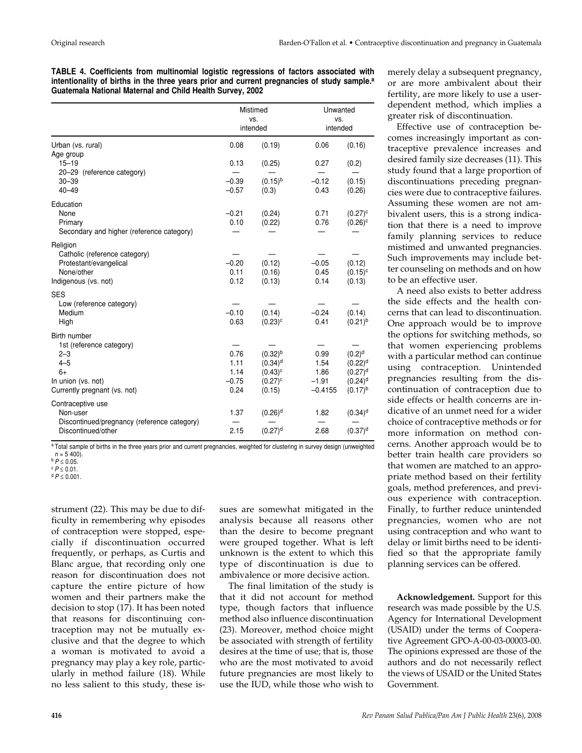**TABLE 4. Coefficients from multinomial logistic regressions of factors associated with intentionality of births in the three years prior and current pregnancies of study sample.<sup>a</sup> Guatemala National Maternal and Child Health Survey, 2002** 

|                                                                                                                              | Mistimed<br>VS.<br>intended             |                                                                             | Unwanted<br>VS.<br>intended                  |                                                                                |
|------------------------------------------------------------------------------------------------------------------------------|-----------------------------------------|-----------------------------------------------------------------------------|----------------------------------------------|--------------------------------------------------------------------------------|
| Urban (vs. rural)                                                                                                            | 0.08                                    | (0.19)                                                                      | 0.06                                         | (0.16)                                                                         |
| Age group<br>$15 - 19$                                                                                                       | 0.13                                    | (0.25)                                                                      | 0.27                                         | (0.2)                                                                          |
| 20-29 (reference category)<br>$30 - 39$<br>$40 - 49$                                                                         | $-0.39$<br>$-0.57$                      | $(0.15)^{b}$<br>(0.3)                                                       | $-0.12$<br>0.43                              | (0.15)<br>(0.26)                                                               |
| Education<br>None<br>Primary<br>Secondary and higher (reference category)                                                    | $-0.21$<br>0.10                         | (0.24)<br>(0.22)                                                            | 0.71<br>0.76                                 | $(0.27)^c$<br>$(0.26)^c$                                                       |
| Religion<br>Catholic (reference category)<br>Protestant/evangelical<br>None/other<br>Indigenous (vs. not)                    | $-0.20$<br>0.11<br>0.12                 | (0.12)<br>(0.16)<br>(0.13)                                                  | $-0.05$<br>0.45<br>0.14                      | (0.12)<br>$(0.15)^c$<br>(0.13)                                                 |
| <b>SES</b><br>Low (reference category)<br>Medium<br>High                                                                     | $-0.10$<br>0.63                         | (0.14)<br>$(0.23)^c$                                                        | $-0.24$<br>0.41                              | (0.14)<br>$(0.21)^{b}$                                                         |
| Birth number<br>1st (reference category)<br>$2 - 3$<br>$4 - 5$<br>$6+$<br>In union (vs. not)<br>Currently pregnant (vs. not) | 0.76<br>1.11<br>1.14<br>$-0.75$<br>0.24 | $(0.32)^{b}$<br>$(0.34)$ <sup>d</sup><br>$(0.43)^c$<br>$(0.27)^c$<br>(0.15) | 0.99<br>1.54<br>1.86<br>$-1.91$<br>$-0.4155$ | $(0.2)^d$<br>$(0.22)^d$<br>$(0.27)^d$<br>$(0.24)$ <sup>d</sup><br>$(0.17)^{b}$ |
| Contraceptive use<br>Non-user<br>Discontinued/pregnancy (reference category)<br>Discontinued/other                           | 1.37<br>2.15                            | $(0.26)$ <sup>d</sup><br>$(0.27)$ <sup>d</sup>                              | 1.82<br>2.68                                 | $(0.34)$ <sup>d</sup><br>$(0.37)$ <sup>d</sup>                                 |

a Total sample of births in the three years prior and current pregnancies, weighted for clustering in survey design (unweighted  $n = 5,400$ .

 $dP \leq 0.001$ .

strument (22). This may be due to difficulty in remembering why episodes of contraception were stopped, especially if discontinuation occurred frequently, or perhaps, as Curtis and Blanc argue, that recording only one reason for discontinuation does not capture the entire picture of how women and their partners make the decision to stop (17). It has been noted that reasons for discontinuing contraception may not be mutually exclusive and that the degree to which a woman is motivated to avoid a pregnancy may play a key role, particularly in method failure (18). While no less salient to this study, these issues are somewhat mitigated in the analysis because all reasons other than the desire to become pregnant were grouped together. What is left unknown is the extent to which this type of discontinuation is due to ambivalence or more decisive action.

The final limitation of the study is that it did not account for method type, though factors that influence method also influence discontinuation (23). Moreover, method choice might be associated with strength of fertility desires at the time of use; that is, those who are the most motivated to avoid future pregnancies are most likely to use the IUD, while those who wish to

merely delay a subsequent pregnancy, or are more ambivalent about their fertility, are more likely to use a userdependent method, which implies a greater risk of discontinuation.

Effective use of contraception becomes increasingly important as contraceptive prevalence increases and desired family size decreases (11). This study found that a large proportion of discontinuations preceding pregnancies were due to contraceptive failures. Assuming these women are not ambivalent users, this is a strong indication that there is a need to improve family planning services to reduce mistimed and unwanted pregnancies. Such improvements may include better counseling on methods and on how to be an effective user.

A need also exists to better address the side effects and the health concerns that can lead to discontinuation. One approach would be to improve the options for switching methods, so that women experiencing problems with a particular method can continue using contraception. Unintended pregnancies resulting from the discontinuation of contraception due to side effects or health concerns are indicative of an unmet need for a wider choice of contraceptive methods or for more information on method concerns. Another approach would be to better train health care providers so that women are matched to an appropriate method based on their fertility goals, method preferences, and previous experience with contraception. Finally, to further reduce unintended pregnancies, women who are not using contraception and who want to delay or limit births need to be identified so that the appropriate family planning services can be offered.

**Acknowledgement.** Support for this research was made possible by the U.S. Agency for International Development (USAID) under the terms of Cooperative Agreement GPO-A-00-03-00003-00. The opinions expressed are those of the authors and do not necessarily reflect the views of USAID or the United States Government.

 $b$   $P \le 0.05$ .

 $c$   $P \leq 0.01$ .